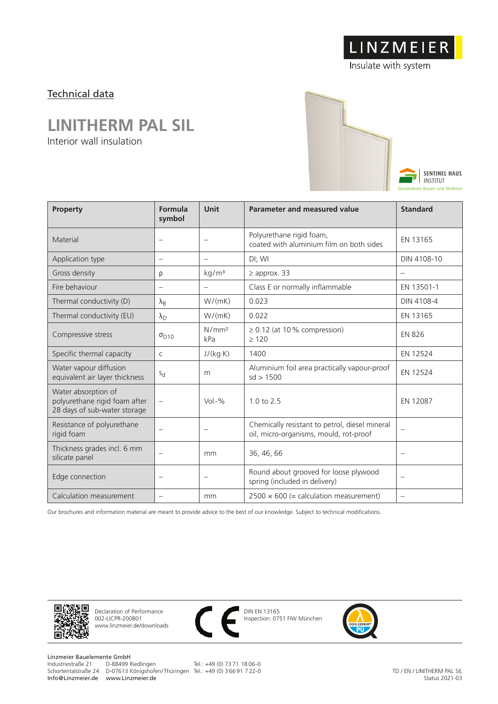# LINZMEIER

Insulate with system

#### Technical data

### **LINITHERM PAL SIL**

Interior wall insulation



| Property                                                                             | Formula<br>symbol                 | Unit                              | <b>Parameter and measured value</b>                                                      | <b>Standard</b>          |
|--------------------------------------------------------------------------------------|-----------------------------------|-----------------------------------|------------------------------------------------------------------------------------------|--------------------------|
| Material                                                                             | $\overline{\phantom{0}}$          |                                   | Polyurethane rigid foam,<br>coated with aluminium film on both sides                     | EN 13165                 |
| Application type                                                                     | $\overline{\phantom{m}}$          | $\overline{\phantom{m}}$          | DI; WI                                                                                   | DIN 4108-10              |
| Gross density                                                                        | ρ                                 | kg/m <sup>3</sup>                 | $\geq$ approx. 33                                                                        |                          |
| Fire behaviour                                                                       |                                   | $\overline{\phantom{m}}$          | Class E or normally inflammable                                                          | EN 13501-1               |
| Thermal conductivity (D)                                                             | $\lambda_{\rm B}$                 | W/(mK)                            | 0.023                                                                                    | DIN 4108-4               |
| Thermal conductivity (EU)                                                            | $\lambda_{\rm D}$                 | W/(mK)                            | 0.022                                                                                    | EN 13165                 |
| Compressive stress                                                                   | $\sigma_{D10}$                    | N/mm <sup>2</sup><br>kPa          | $\geq$ 0.12 (at 10% compression)<br>>120                                                 | <b>EN 826</b>            |
| Specific thermal capacity                                                            | C                                 | J/(kg·K)                          | 1400                                                                                     | EN 12524                 |
| Water vapour diffusion<br>equivalent air layer thickness                             | $S_{d}$                           | m                                 | Aluminium foil area practically vapour-proof<br>sd > 1500                                | EN 12524                 |
| Water absorption of<br>polyurethane rigid foam after<br>28 days of sub-water storage | $\overline{\phantom{0}}$          | $Vol - %$                         | $1.0 \text{ to } 2.5$                                                                    | EN 12087                 |
| Resistance of polyurethane<br>rigid foam                                             |                                   | $\overbrace{\phantom{123221111}}$ | Chemically resistant to petrol, diesel mineral<br>oil, micro-organisms, mould, rot-proof |                          |
| Thickness grades incl. 6 mm<br>silicate panel                                        | $\overline{\phantom{0}}$          | mm                                | 36, 46, 66                                                                               | $\equiv$                 |
| Edge connection                                                                      | $\overbrace{\phantom{123221111}}$ | $\overline{\phantom{m}}$          | Round about grooved for loose plywood<br>spring (included in delivery)                   | $\overline{\phantom{0}}$ |
| Calculation measurement                                                              |                                   | mm                                | $2500 \times 600$ (= calculation measurement)                                            | $\equiv$                 |

Our brochures and information material are meant to provide advice to the best of our knowledge. Subject to technical modifications.



Declaration of Performance 002-LICPR-200801 www.linzmeier.de/downloads



DIN EN 13165 Inspection: 0751 FIW München



Linzmeier Bauelemente GmbH<br>Industriestraße 21 D-88499 Riedlingen Schortentalstraße 24 D-07613 Königshofen/ Thüringen Tel.: +49 (0) 3 66 91 7 22-0 Info@Linzmeier.de www.Linzmeier.de

Tel.: +49 (0) 73 71 18 06-0